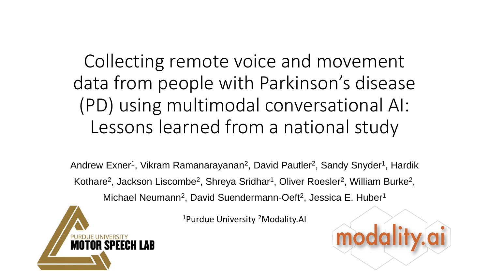#### Collecting remote voice and movement data from people with Parkinson's disease (PD) using multimodal conversational AI: Lessons learned from a national study

Andrew Exner<sup>1</sup>, Vikram Ramanarayanan<sup>2</sup>, David Pautler<sup>2</sup>, Sandy Snyder<sup>1</sup>, Hardik Kothare<sup>2</sup>, Jackson Liscombe<sup>2</sup>, Shreya Sridhar<sup>1</sup>, Oliver Roesler<sup>2</sup>, William Burke<sup>2</sup>, Michael Neumann<sup>2</sup>, David Suendermann-Oeft<sup>2</sup>, Jessica E. Huber<sup>1</sup>

<sup>1</sup>Purdue University <sup>2</sup>Modality.AI

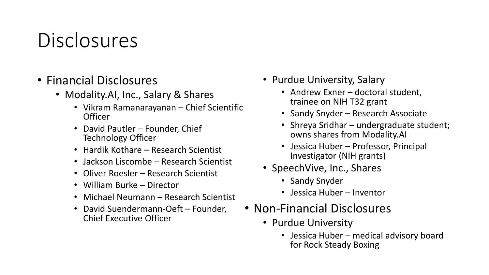# Disclosures

- Financial Disclosures
	- Modality.AI, Inc., Salary & Shares
		- Vikram Ramanarayanan Chief Scientific **Officer**
		- David Pautler Founder, Chief Technology Officer
		- Hardik Kothare Research Scientist
		- Jackson Liscombe Research Scientist
		- Oliver Roesler Research Scientist
		- William Burke Director
		- Michael Neumann Research Scientist
		- David Suendermann-Oeft Founder, Chief Executive Officer
- Purdue University, Salary
	- Andrew Exner doctoral student, trainee on NIH T32 grant
	- Sandy Snyder Research Associate
	- Shreya Sridhar undergraduate student; owns shares from Modality.AI
	- Jessica Huber Professor, Principal Investigator (NIH grants)
- SpeechVive, Inc., Shares
	- Sandy Snyder
	- Jessica Huber Inventor
- Non-Financial Disclosures
	- Purdue University
		- Jessica Huber medical advisory board for Rock Steady Boxing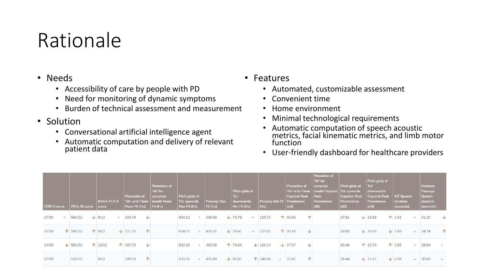#### Rationale

#### • Needs

- Accessibility of care by people with PD
- Need for monitoring of dynamic symptoms
- Burden of technical assessment and measurement
- Solution
	- Conversational artificial intelligence agent
	- Automatic computation and delivery of relevant patient data

#### • Features

- Automated, customizable assessment
- Convenient time
- Home environment
- Minimal technological requirements
- Automatic computation of speech acoustic metrics, facial kinematic metrics, and limb motor function
- User-friendly dashboard for healthcare providers

| <b>CPIB-S score</b> |     | PDQ-39 score    | <b>NASA-TLX-R</b><br>score | <b>Phonation of</b><br>'Ah' with Timer   breath Mean<br>Mean FO (Hz) | Phonation of<br>'Ah' for<br>complete<br> FO(Hz) | Pitch glide of<br>'Ee' upwards<br>Max FO (Hz) |     | <b>Prosody Max</b><br>FO (Hz) | Pitch glide of<br>'Ee'<br>downwards<br>Min F0 (Hz) | Prosody Min F0   Prominence<br>(Hz) | Phonation of<br><b>Cepstral Peak</b><br>(d) | Phonation of<br>'Ah' for<br>complete<br>'Ah' with Timer   breath Cepstral<br>Peak<br>Prominence<br>(dB) | Pitch glide of<br>'Ee' upwards<br><b>Cepstral Peak</b><br>Prominence<br>(d) | Pitch glide of<br>'Ee'<br>downwards<br><b>Cepstral Peak</b><br>Prominence<br>(dB) |               | <b>SIT Speech</b><br>duration<br>(seconds) | Rainbow<br>Passage<br>Speech<br>duration<br>(seconds) |            |
|---------------------|-----|-----------------|----------------------------|----------------------------------------------------------------------|-------------------------------------------------|-----------------------------------------------|-----|-------------------------------|----------------------------------------------------|-------------------------------------|---------------------------------------------|---------------------------------------------------------------------------------------------------------|-----------------------------------------------------------------------------|-----------------------------------------------------------------------------------|---------------|--------------------------------------------|-------------------------------------------------------|------------|
| 17/30               | $=$ | 56/152          | $\sqrt{9/12}$<br>$=$       | $\downarrow$<br>203.79                                               |                                                 | 633.12                                        | $=$ | 399.86                        | $\sqrt{74.76}$                                     | 135.73                              | 1 30.66<br>$\uparrow$                       |                                                                                                         | 27.91                                                                       | $\sqrt{23.86}$                                                                    | 12.92         | $=$                                        | 31.10                                                 | $\vee$     |
| 17/30               |     | ↑ 58/152        | $\uparrow$ 9/12            | $\uparrow$<br>$\sqrt{211.75}$                                        |                                                 | 634.73                                        |     | 435.57                        | $\sqrt{76.41}$                                     | 127.02                              | 120.14<br>$\sqrt{ }$                        |                                                                                                         | 28.80                                                                       | $\sqrt{20.65}$                                                                    | $\sqrt{3.45}$ | $\equiv$                                   | 34.74                                                 | $\uparrow$ |
| 14/30               |     | $\sqrt{55/152}$ | 10/12                      | $\sqrt{2}$<br>↑ 197.73                                               |                                                 | 632.16                                        |     | 463.06                        | ↑ 74.54                                            | $\sqrt{120.14}$                     | $\sqrt{27.57}$<br>$\sqrt{2}$                |                                                                                                         | 30.46                                                                       | ↑ 23.70                                                                           | 12.90         | $\equiv$                                   | 28.64                                                 | $=$        |
| 17/30               |     | 53/152          | 9/12                       | 个<br>289.55                                                          |                                                 | 633.36                                        |     | 435.88                        | $\sqrt{82.41}$                                     | ↑ 146.88                            | $\uparrow$<br>33.41                         |                                                                                                         | 26.44                                                                       | $\sqrt{23.17}$                                                                    | $\sqrt{2.98}$ | $=$                                        | 30.68                                                 | $=$        |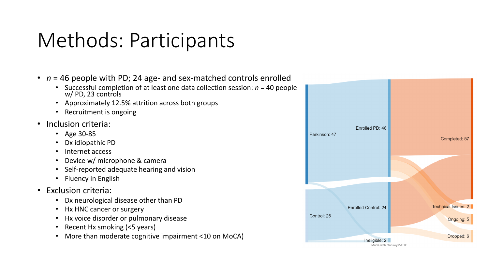# Methods: Participants

- *n* = 46 people with PD; 24 age- and sex-matched controls enrolled
	- Successful completion of at least one data collection session: *n* = 40 people w/ PD, 23 controls
	- Approximately 12.5% attrition across both groups
	- Recruitment is ongoing
- Inclusion criteria:
	- Age 30-85
	- Dx idiopathic PD
	- Internet access
	- Device w/ microphone & camera
	- Self-reported adequate hearing and vision
	- Fluency in English
- Exclusion criteria:
	- Dx neurological disease other than PD
	- Hx HNC cancer or surgery
	- Hx voice disorder or pulmonary disease
	- Recent Hx smoking (<5 years)
	- More than moderate cognitive impairment <10 on MoCA)

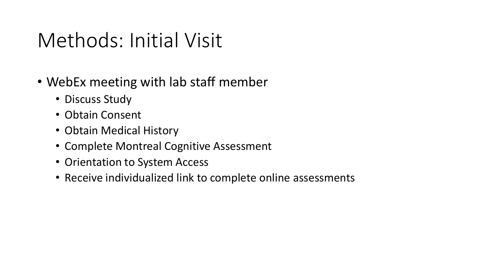## Methods: Initial Visit

- WebEx meeting with lab staff member
	- Discuss Study
	- Obtain Consent
	- Obtain Medical History
	- Complete Montreal Cognitive Assessment
	- Orientation to System Access
	- Receive individualized link to complete online assessments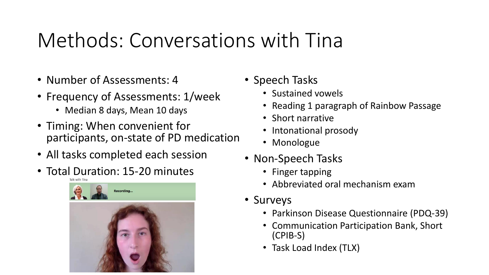## Methods: Conversations with Tina

- Number of Assessments: 4
- Frequency of Assessments: 1/week
	- Median 8 days, Mean 10 days
- Timing: When convenient for participants, on-state of PD medication
- All tasks completed each session
- Total Duration: 15-20 minutes



- Speech Tasks
	- Sustained vowels
	- Reading 1 paragraph of Rainbow Passage
	- Short narrative
	- Intonational prosody
	- Monologue
- Non-Speech Tasks
	- Finger tapping
	- Abbreviated oral mechanism exam
- Surveys
	- Parkinson Disease Questionnaire (PDQ-39)
	- Communication Participation Bank, Short (CPIB-S)
	- Task Load Index (TLX)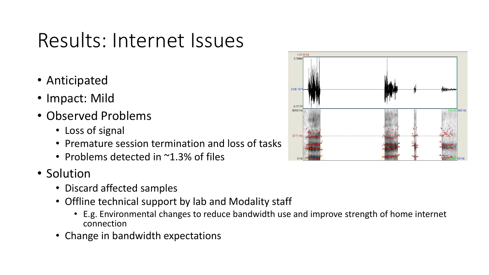## Results: Internet Issues

- Anticipated
- Impact: Mild
- Observed Problems
	- Loss of signal
	- Premature session termination and loss of tasks
	- Problems detected in  $\sim$ 1.3% of files
- Solution
	- Discard affected samples
	- Offline technical support by lab and Modality staff
		- E.g. Environmental changes to reduce bandwidth use and improve strength of home internet connection
	- Change in bandwidth expectations

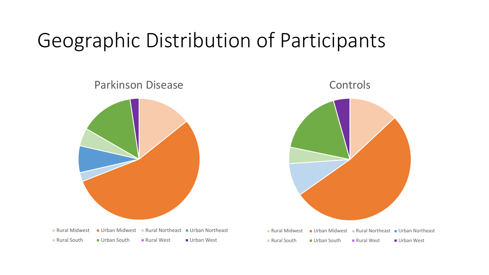## Geographic Distribution of Participants



**Rural Midwest • Urban Midwest • Rural Northeast • Urban Northeast** ■ Rural South ■ Urban South ■ Rural West ■ Urban West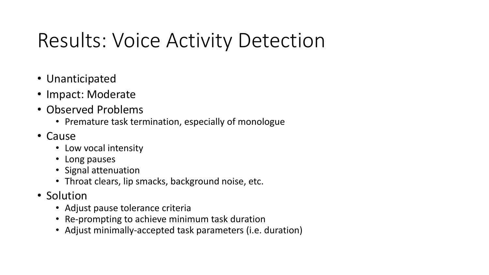# Results: Voice Activity Detection

- Unanticipated
- Impact: Moderate
- Observed Problems
	- Premature task termination, especially of monologue
- Cause
	- Low vocal intensity
	- Long pauses
	- Signal attenuation
	- Throat clears, lip smacks, background noise, etc.
- Solution
	- Adjust pause tolerance criteria
	- Re-prompting to achieve minimum task duration
	- Adjust minimally-accepted task parameters (i.e. duration)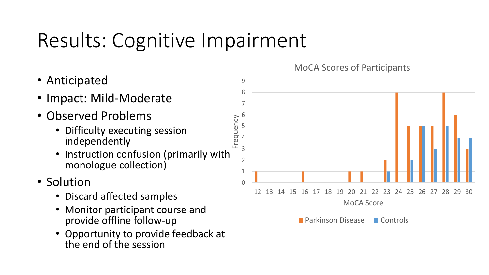# Results: Cognitive Impairment

- Anticipated
- Impact: Mild-Moderate
- Observed Problems
	- Difficulty executing session independently
	- Instruction confusion (primarily with monologue collection)
- Solution
	- Discard affected samples
	- Monitor participant course and provide offline follow-up
	- Opportunity to provide feedback at the end of the session



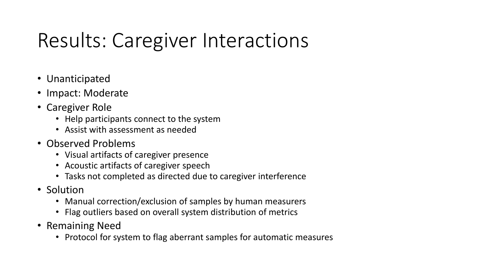# Results: Caregiver Interactions

- Unanticipated
- Impact: Moderate
- Caregiver Role
	- Help participants connect to the system
	- Assist with assessment as needed
- Observed Problems
	- Visual artifacts of caregiver presence
	- Acoustic artifacts of caregiver speech
	- Tasks not completed as directed due to caregiver interference
- Solution
	- Manual correction/exclusion of samples by human measurers
	- Flag outliers based on overall system distribution of metrics
- Remaining Need
	- Protocol for system to flag aberrant samples for automatic measures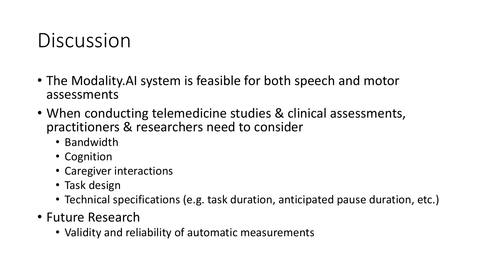## Discussion

- The Modality.AI system is feasible for both speech and motor assessments
- When conducting telemedicine studies & clinical assessments, practitioners & researchers need to consider
	- Bandwidth
	- Cognition
	- Caregiver interactions
	- Task design
	- Technical specifications (e.g. task duration, anticipated pause duration, etc.)
- Future Research
	- Validity and reliability of automatic measurements